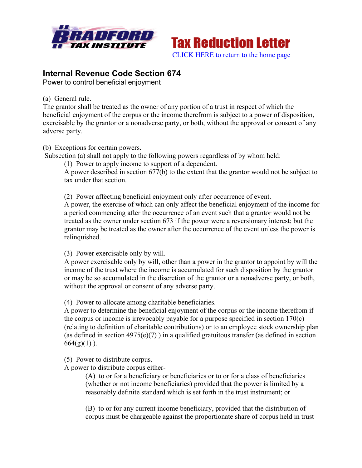



## **Internal Revenue Code Section 674**

Power to control beneficial enjoyment

(a) General rule.

The grantor shall be treated as the owner of any portion of a trust in respect of which the beneficial enjoyment of the corpus or the income therefrom is subject to a power of disposition, exercisable by the grantor or a nonadverse party, or both, without the approval or consent of any adverse party.

(b) Exceptions for certain powers.

Subsection (a) shall not apply to the following powers regardless of by whom held:

(1) Power to apply income to support of a dependent.

A power described in section 677(b) to the extent that the grantor would not be subject to tax under that section.

(2) Power affecting beneficial enjoyment only after occurrence of event.

A power, the exercise of which can only affect the beneficial enjoyment of the income for a period commencing after the occurrence of an event such that a grantor would not be treated as the owner under section 673 if the power were a reversionary interest; but the grantor may be treated as the owner after the occurrence of the event unless the power is relinquished.

(3) Power exercisable only by will.

A power exercisable only by will, other than a power in the grantor to appoint by will the income of the trust where the income is accumulated for such disposition by the grantor or may be so accumulated in the discretion of the grantor or a nonadverse party, or both, without the approval or consent of any adverse party.

(4) Power to allocate among charitable beneficiaries.

A power to determine the beneficial enjoyment of the corpus or the income therefrom if the corpus or income is irrevocably payable for a purpose specified in section 170(c) (relating to definition of charitable contributions) or to an employee stock ownership plan (as defined in section  $4975(e)(7)$ ) in a qualified gratuitous transfer (as defined in section  $664(g)(1)$ ).

(5) Power to distribute corpus.

A power to distribute corpus either-

(A) to or for a beneficiary or beneficiaries or to or for a class of beneficiaries (whether or not income beneficiaries) provided that the power is limited by a reasonably definite standard which is set forth in the trust instrument; or

(B) to or for any current income beneficiary, provided that the distribution of corpus must be chargeable against the proportionate share of corpus held in trust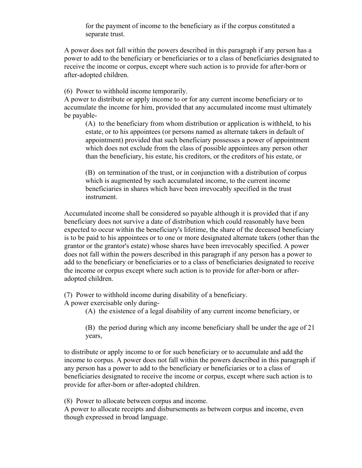for the payment of income to the beneficiary as if the corpus constituted a separate trust.

A power does not fall within the powers described in this paragraph if any person has a power to add to the beneficiary or beneficiaries or to a class of beneficiaries designated to receive the income or corpus, except where such action is to provide for after-born or after-adopted children.

(6) Power to withhold income temporarily.

A power to distribute or apply income to or for any current income beneficiary or to accumulate the income for him, provided that any accumulated income must ultimately be payable-

(A) to the beneficiary from whom distribution or application is withheld, to his estate, or to his appointees (or persons named as alternate takers in default of appointment) provided that such beneficiary possesses a power of appointment which does not exclude from the class of possible appointees any person other than the beneficiary, his estate, his creditors, or the creditors of his estate, or

(B) on termination of the trust, or in conjunction with a distribution of corpus which is augmented by such accumulated income, to the current income beneficiaries in shares which have been irrevocably specified in the trust instrument.

Accumulated income shall be considered so payable although it is provided that if any beneficiary does not survive a date of distribution which could reasonably have been expected to occur within the beneficiary's lifetime, the share of the deceased beneficiary is to be paid to his appointees or to one or more designated alternate takers (other than the grantor or the grantor's estate) whose shares have been irrevocably specified. A power does not fall within the powers described in this paragraph if any person has a power to add to the beneficiary or beneficiaries or to a class of beneficiaries designated to receive the income or corpus except where such action is to provide for after-born or afteradopted children.

(7) Power to withhold income during disability of a beneficiary.

A power exercisable only during-

(A) the existence of a legal disability of any current income beneficiary, or

(B) the period during which any income beneficiary shall be under the age of 21 years,

to distribute or apply income to or for such beneficiary or to accumulate and add the income to corpus. A power does not fall within the powers described in this paragraph if any person has a power to add to the beneficiary or beneficiaries or to a class of beneficiaries designated to receive the income or corpus, except where such action is to provide for after-born or after-adopted children.

(8) Power to allocate between corpus and income.

A power to allocate receipts and disbursements as between corpus and income, even though expressed in broad language.